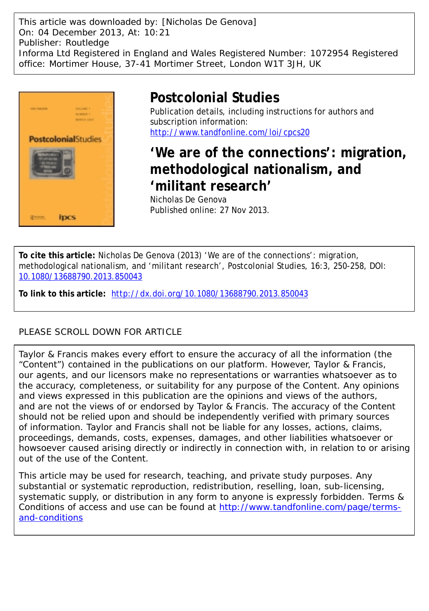This article was downloaded by: [Nicholas De Genova] On: 04 December 2013, At: 10:21 Publisher: Routledge Informa Ltd Registered in England and Wales Registered Number: 1072954 Registered office: Mortimer House, 37-41 Mortimer Street, London W1T 3JH, UK



## **Postcolonial Studies**

Publication details, including instructions for authors and subscription information: <http://www.tandfonline.com/loi/cpcs20>

**'We are of the connections': migration, methodological nationalism, and 'militant research'**

Nicholas De Genova Published online: 27 Nov 2013.

**To cite this article:** Nicholas De Genova (2013) 'We are of the connections': migration, methodological nationalism, and 'militant research', Postcolonial Studies, 16:3, 250-258, DOI: [10.1080/13688790.2013.850043](http://www.tandfonline.com/action/showCitFormats?doi=10.1080/13688790.2013.850043)

**To link to this article:** <http://dx.doi.org/10.1080/13688790.2013.850043>

### PLEASE SCROLL DOWN FOR ARTICLE

Taylor & Francis makes every effort to ensure the accuracy of all the information (the "Content") contained in the publications on our platform. However, Taylor & Francis, our agents, and our licensors make no representations or warranties whatsoever as to the accuracy, completeness, or suitability for any purpose of the Content. Any opinions and views expressed in this publication are the opinions and views of the authors, and are not the views of or endorsed by Taylor & Francis. The accuracy of the Content should not be relied upon and should be independently verified with primary sources of information. Taylor and Francis shall not be liable for any losses, actions, claims, proceedings, demands, costs, expenses, damages, and other liabilities whatsoever or howsoever caused arising directly or indirectly in connection with, in relation to or arising out of the use of the Content.

This article may be used for research, teaching, and private study purposes. Any substantial or systematic reproduction, redistribution, reselling, loan, sub-licensing, systematic supply, or distribution in any form to anyone is expressly forbidden. Terms & Conditions of access and use can be found at [http://www.tandfonline.com/page/terms](http://www.tandfonline.com/page/terms-and-conditions)[and-conditions](http://www.tandfonline.com/page/terms-and-conditions)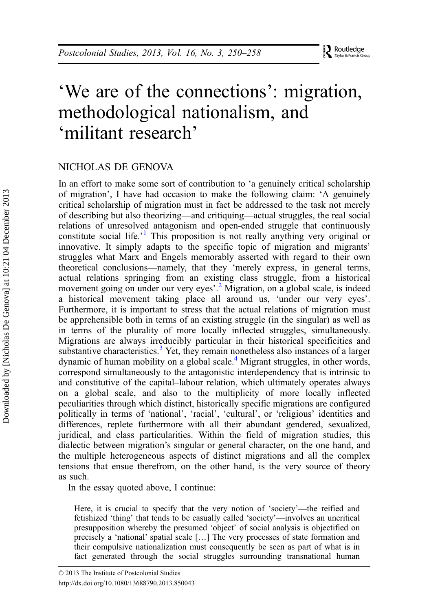# 'We are of the connections': migration, methodological nationalism, and 'militant research'

## NICHOLAS DE GENOVA

In an effort to make some sort of contribution to 'a genuinely critical scholarship of migration', I have had occasion to make the following claim: 'A genuinely critical scholarship of migration must in fact be addressed to the task not merely of describing but also theorizing—and critiquing—actual struggles, the real social relations of unresolved antagonism and open-ended struggle that continuously constitute social life.<sup>[1](#page-7-0)</sup> This proposition is not really anything very original or innovative. It simply adapts to the specific topic of migration and migrants' struggles what Marx and Engels memorably asserted with regard to their own theoretical conclusions—namely, that they 'merely express, in general terms, actual relations springing from an existing class struggle, from a historical movement going on under our very eyes'.<sup>[2](#page-7-0)</sup> Migration, on a global scale, is indeed a historical movement taking place all around us, 'under our very eyes'. Furthermore, it is important to stress that the actual relations of migration must be apprehensible both in terms of an existing struggle (in the singular) as well as in terms of the plurality of more locally inflected struggles, simultaneously. Migrations are always irreducibly particular in their historical specificities and substantive characteristics.<sup>[3](#page-7-0)</sup> Yet, they remain nonetheless also instances of a larger dynamic of human mobility on a global scale.<sup>[4](#page-7-0)</sup> Migrant struggles, in other words, correspond simultaneously to the antagonistic interdependency that is intrinsic to and constitutive of the capital–labour relation, which ultimately operates always on a global scale, and also to the multiplicity of more locally inflected peculiarities through which distinct, historically specific migrations are configured politically in terms of 'national', 'racial', 'cultural', or 'religious' identities and differences, replete furthermore with all their abundant gendered, sexualized, juridical, and class particularities. Within the field of migration studies, this dialectic between migration's singular or general character, on the one hand, and the multiple heterogeneous aspects of distinct migrations and all the complex tensions that ensue therefrom, on the other hand, is the very source of theory as such.

In the essay quoted above, I continue:

Here, it is crucial to specify that the very notion of 'society'—the reified and fetishized 'thing' that tends to be casually called 'society'—involves an uncritical presupposition whereby the presumed 'object' of social analysis is objectified on precisely a 'national' spatial scale […] The very processes of state formation and their compulsive nationalization must consequently be seen as part of what is in fact generated through the social struggles surrounding transnational human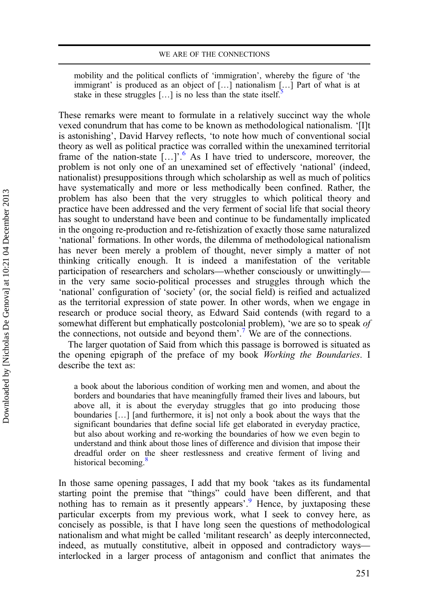mobility and the political conflicts of 'immigration', whereby the figure of 'the immigrant' is produced as an object of […] nationalism […] Part of what is at stake in these struggles  $[\dots]$  is no less than the state itself.<sup>[5](#page-7-0)</sup>

These remarks were meant to formulate in a relatively succinct way the whole vexed conundrum that has come to be known as methodological nationalism. '[I]t is astonishing', David Harvey reflects, 'to note how much of conventional social theory as well as political practice was corralled within the unexamined territorial frame of the nation-state [...]'.<sup>[6](#page-7-0)</sup> As I have tried to underscore, moreover, the problem is not only one of an unexamined set of effectively 'national' (indeed, nationalist) presuppositions through which scholarship as well as much of politics have systematically and more or less methodically been confined. Rather, the problem has also been that the very struggles to which political theory and practice have been addressed and the very ferment of social life that social theory has sought to understand have been and continue to be fundamentally implicated in the ongoing re-production and re-fetishization of exactly those same naturalized 'national' formations. In other words, the dilemma of methodological nationalism has never been merely a problem of thought, never simply a matter of not thinking critically enough. It is indeed a manifestation of the veritable participation of researchers and scholars—whether consciously or unwittingly in the very same socio-political processes and struggles through which the 'national' configuration of 'society' (or, the social field) is reified and actualized as the territorial expression of state power. In other words, when we engage in research or produce social theory, as Edward Said contends (with regard to a somewhat different but emphatically postcolonial problem), 'we are so to speak of the connections, not outside and beyond them'.<sup>[7](#page-7-0)</sup> We are of the connections.

The larger quotation of Said from which this passage is borrowed is situated as the opening epigraph of the preface of my book Working the Boundaries. I describe the text as:

a book about the laborious condition of working men and women, and about the borders and boundaries that have meaningfully framed their lives and labours, but above all, it is about the everyday struggles that go into producing those boundaries […] [and furthermore, it is] not only a book about the ways that the significant boundaries that define social life get elaborated in everyday practice, but also about working and re-working the boundaries of how we even begin to understand and think about those lines of difference and division that impose their dreadful order on the sheer restlessness and creative ferment of living and historical becoming.<sup>[8](#page-7-0)</sup>

In those same opening passages, I add that my book 'takes as its fundamental starting point the premise that "things" could have been different, and that nothing has to remain as it presently appears'.<sup>[9](#page-7-0)</sup> Hence, by juxtaposing these particular excerpts from my previous work, what I seek to convey here, as concisely as possible, is that I have long seen the questions of methodological nationalism and what might be called 'militant research' as deeply interconnected, indeed, as mutually constitutive, albeit in opposed and contradictory ways interlocked in a larger process of antagonism and conflict that animates the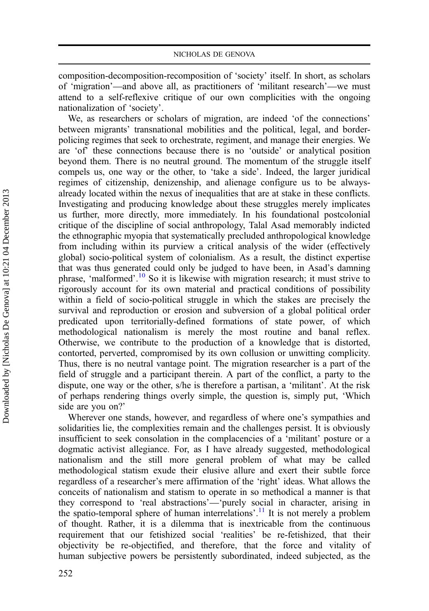composition-decomposition-recomposition of 'society' itself. In short, as scholars of 'migration'—and above all, as practitioners of 'militant research'—we must attend to a self-reflexive critique of our own complicities with the ongoing nationalization of 'society'.

We, as researchers or scholars of migration, are indeed 'of the connections' between migrants' transnational mobilities and the political, legal, and borderpolicing regimes that seek to orchestrate, regiment, and manage their energies. We are 'of' these connections because there is no 'outside' or analytical position beyond them. There is no neutral ground. The momentum of the struggle itself compels us, one way or the other, to 'take a side'. Indeed, the larger juridical regimes of citizenship, denizenship, and alienage configure us to be alwaysalready located within the nexus of inequalities that are at stake in these conflicts. Investigating and producing knowledge about these struggles merely implicates us further, more directly, more immediately. In his foundational postcolonial critique of the discipline of social anthropology, Talal Asad memorably indicted the ethnographic myopia that systematically precluded anthropological knowledge from including within its purview a critical analysis of the wider (effectively global) socio-political system of colonialism. As a result, the distinct expertise that was thus generated could only be judged to have been, in Asad's damning phrase, 'malformed'.<sup>[10](#page-7-0)</sup> So it is likewise with migration research; it must strive to rigorously account for its own material and practical conditions of possibility within a field of socio-political struggle in which the stakes are precisely the survival and reproduction or erosion and subversion of a global political order predicated upon territorially-defined formations of state power, of which methodological nationalism is merely the most routine and banal reflex. Otherwise, we contribute to the production of a knowledge that is distorted, contorted, perverted, compromised by its own collusion or unwitting complicity. Thus, there is no neutral vantage point. The migration researcher is a part of the field of struggle and a participant therein. A part of the conflict, a party to the dispute, one way or the other, s/he is therefore a partisan, a 'militant'. At the risk of perhaps rendering things overly simple, the question is, simply put, 'Which side are you on?'

Wherever one stands, however, and regardless of where one's sympathies and solidarities lie, the complexities remain and the challenges persist. It is obviously insufficient to seek consolation in the complacencies of a 'militant' posture or a dogmatic activist allegiance. For, as I have already suggested, methodological nationalism and the still more general problem of what may be called methodological statism exude their elusive allure and exert their subtle force regardless of a researcher's mere affirmation of the 'right' ideas. What allows the conceits of nationalism and statism to operate in so methodical a manner is that they correspond to 'real abstractions'—'purely social in character, arising in the spatio-temporal sphere of human interrelations'.<sup>[11](#page-7-0)</sup> It is not merely a problem of thought. Rather, it is a dilemma that is inextricable from the continuous requirement that our fetishized social 'realities' be re-fetishized, that their objectivity be re-objectified, and therefore, that the force and vitality of human subjective powers be persistently subordinated, indeed subjected, as the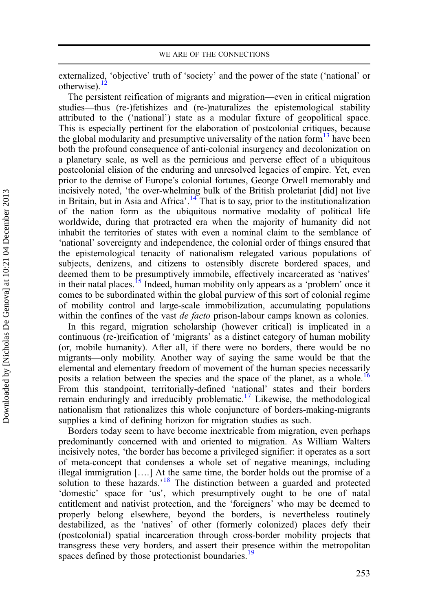externalized, 'objective' truth of 'society' and the power of the state ('national' or otherwise).<sup>[12](#page-7-0)</sup>

The persistent reification of migrants and migration—even in critical migration studies—thus (re-)fetishizes and (re-)naturalizes the epistemological stability attributed to the ('national') state as a modular fixture of geopolitical space. This is especially pertinent for the elaboration of postcolonial critiques, because the global modularity and presumptive universality of the nation form<sup>13</sup> have been both the profound consequence of anti-colonial insurgency and decolonization on a planetary scale, as well as the pernicious and perverse effect of a ubiquitous postcolonial elision of the enduring and unresolved legacies of empire. Yet, even prior to the demise of Europe's colonial fortunes, George Orwell memorably and incisively noted, 'the over-whelming bulk of the British proletariat [did] not live in Britain, but in Asia and Africa'.<sup>[14](#page-7-0)</sup> That is to say, prior to the institutionalization of the nation form as the ubiquitous normative modality of political life worldwide, during that protracted era when the majority of humanity did not inhabit the territories of states with even a nominal claim to the semblance of 'national' sovereignty and independence, the colonial order of things ensured that the epistemological tenacity of nationalism relegated various populations of subjects, denizens, and citizens to ostensibly discrete bordered spaces, and deemed them to be presumptively immobile, effectively incarcerated as 'natives' in their natal places.<sup>[15](#page-7-0)</sup> Indeed, human mobility only appears as a 'problem' once it comes to be subordinated within the global purview of this sort of colonial regime of mobility control and large-scale immobilization, accumulating populations within the confines of the vast *de facto* prison-labour camps known as colonies.

In this regard, migration scholarship (however critical) is implicated in a continuous (re-)reification of 'migrants' as a distinct category of human mobility (or, mobile humanity). After all, if there were no borders, there would be no migrants—only mobility. Another way of saying the same would be that the elemental and elementary freedom of movement of the human species necessarily posits a relation between the species and the space of the planet, as a whole.<sup>[16](#page-7-0)</sup> From this standpoint, territorially-defined 'national' states and their borders remain enduringly and irreducibly problematic.<sup>[17](#page-7-0)</sup> Likewise, the methodological nationalism that rationalizes this whole conjuncture of borders-making-migrants supplies a kind of defining horizon for migration studies as such.

Borders today seem to have become inextricable from migration, even perhaps predominantly concerned with and oriented to migration. As William Walters incisively notes, 'the border has become a privileged signifier: it operates as a sort of meta-concept that condenses a whole set of negative meanings, including illegal immigration [….] At the same time, the border holds out the promise of a solution to these hazards.<sup>[18](#page-7-0)</sup> The distinction between a guarded and protected 'domestic' space for 'us', which presumptively ought to be one of natal entitlement and nativist protection, and the 'foreigners' who may be deemed to properly belong elsewhere, beyond the borders, is nevertheless routinely destabilized, as the 'natives' of other (formerly colonized) places defy their (postcolonial) spatial incarceration through cross-border mobility projects that transgress these very borders, and assert their presence within the metropolitan spaces defined by those protectionist boundaries.<sup>[19](#page-7-0)</sup>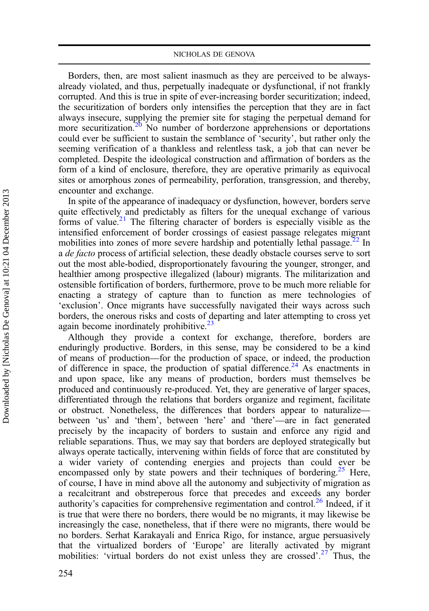Borders, then, are most salient inasmuch as they are perceived to be alwaysalready violated, and thus, perpetually inadequate or dysfunctional, if not frankly corrupted. And this is true in spite of ever-increasing border securitization; indeed, the securitization of borders only intensifies the perception that they are in fact always insecure, supplying the premier site for staging the perpetual demand for more securitization.<sup>[20](#page-7-0)</sup> No number of borderzone apprehensions or deportations could ever be sufficient to sustain the semblance of 'security', but rather only the seeming verification of a thankless and relentless task, a job that can never be completed. Despite the ideological construction and affirmation of borders as the form of a kind of enclosure, therefore, they are operative primarily as equivocal sites or amorphous zones of permeability, perforation, transgression, and thereby, encounter and exchange.

In spite of the appearance of inadequacy or dysfunction, however, borders serve quite effectively and predictably as filters for the unequal exchange of various forms of value.<sup>[21](#page-7-0)</sup> The filtering character of borders is especially visible as the intensified enforcement of border crossings of easiest passage relegates migrant mobilities into zones of more severe hardship and potentially lethal passage.<sup>[22](#page-7-0)</sup> In a *de facto* process of artificial selection, these deadly obstacle courses serve to sort out the most able-bodied, disproportionately favouring the younger, stronger, and healthier among prospective illegalized (labour) migrants. The militarization and ostensible fortification of borders, furthermore, prove to be much more reliable for enacting a strategy of capture than to function as mere technologies of 'exclusion'. Once migrants have successfully navigated their ways across such borders, the onerous risks and costs of departing and later attempting to cross yet again become inordinately prohibitive.<sup>23</sup>

Although they provide a context for exchange, therefore, borders are enduringly productive. Borders, in this sense, may be considered to be a kind of means of production—for the production of space, or indeed, the production of difference in space, the production of spatial difference.<sup>[24](#page-8-0)</sup> As enactments in and upon space, like any means of production, borders must themselves be produced and continuously re-produced. Yet, they are generative of larger spaces, differentiated through the relations that borders organize and regiment, facilitate or obstruct. Nonetheless, the differences that borders appear to naturalize between 'us' and 'them', between 'here' and 'there'—are in fact generated precisely by the incapacity of borders to sustain and enforce any rigid and reliable separations. Thus, we may say that borders are deployed strategically but always operate tactically, intervening within fields of force that are constituted by a wider variety of contending energies and projects than could ever be encompassed only by state powers and their techniques of bordering.<sup>[25](#page-8-0)</sup> Here, of course, I have in mind above all the autonomy and subjectivity of migration as a recalcitrant and obstreperous force that precedes and exceeds any border authority's capacities for comprehensive regimentation and control.<sup>26</sup> Indeed, if it is true that were there no borders, there would be no migrants, it may likewise be increasingly the case, nonetheless, that if there were no migrants, there would be no borders. Serhat Karakayali and Enrica Rigo, for instance, argue persuasively that the virtualized borders of 'Europe' are literally activated by migrant mobilities: 'virtual borders do not exist unless they are crossed'.<sup>[27](#page-9-0)</sup> Thus, the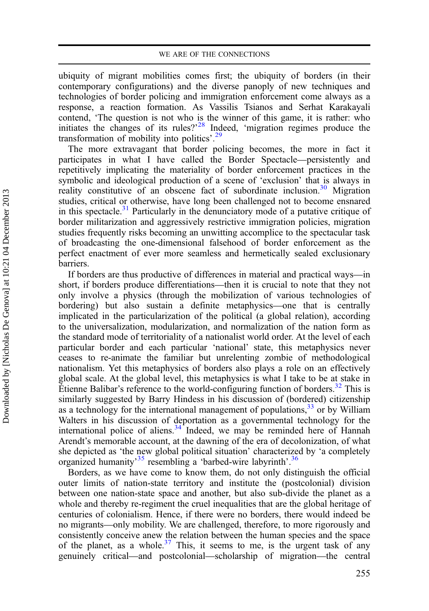WE ARE OF THE CONNECTIONS

ubiquity of migrant mobilities comes first; the ubiquity of borders (in their contemporary configurations) and the diverse panoply of new techniques and technologies of border policing and immigration enforcement come always as a response, a reaction formation. As Vassilis Tsianos and Serhat Karakayali contend, 'The question is not who is the winner of this game, it is rather: who initiates the changes of its rules?<sup>[28](#page-9-0)</sup> Indeed, 'migration regimes produce the transformation of mobility into politics'.<sup>[29](#page-9-0)</sup>

The more extravagant that border policing becomes, the more in fact it participates in what I have called the Border Spectacle—persistently and repetitively implicating the materiality of border enforcement practices in the symbolic and ideological production of a scene of 'exclusion' that is always in reality constitutive of an obscene fact of subordinate inclusion.<sup>30</sup> Migration studies, critical or otherwise, have long been challenged not to become ensnared in this spectacle.<sup>31</sup> Particularly in the denunciatory mode of a putative critique of border militarization and aggressively restrictive immigration policies, migration studies frequently risks becoming an unwitting accomplice to the spectacular task of broadcasting the one-dimensional falsehood of border enforcement as the perfect enactment of ever more seamless and hermetically sealed exclusionary barriers.

If borders are thus productive of differences in material and practical ways—in short, if borders produce differentiations—then it is crucial to note that they not only involve a physics (through the mobilization of various technologies of bordering) but also sustain a definite metaphysics—one that is centrally implicated in the particularization of the political (a global relation), according to the universalization, modularization, and normalization of the nation form as the standard mode of territoriality of a nationalist world order. At the level of each particular border and each particular 'national' state, this metaphysics never ceases to re-animate the familiar but unrelenting zombie of methodological nationalism. Yet this metaphysics of borders also plays a role on an effectively global scale. At the global level, this metaphysics is what I take to be at stake in Etienne Balibar's reference to the world-configuring function of borders.<sup>32</sup> This is similarly suggested by Barry Hindess in his discussion of (bordered) citizenship as a technology for the international management of populations,  $33$  or by William Walters in his discussion of deportation as a governmental technology for the international police of aliens. $34$  Indeed, we may be reminded here of Hannah Arendt's memorable account, at the dawning of the era of decolonization, of what she depicted as 'the new global political situation' characterized by 'a completely organized humanity<sup>[35](#page-9-0)</sup> resembling a 'barbed-wire labyrinth'.<sup>[36](#page-9-0)</sup>

Borders, as we have come to know them, do not only distinguish the official outer limits of nation-state territory and institute the (postcolonial) division between one nation-state space and another, but also sub-divide the planet as a whole and thereby re-regiment the cruel inequalities that are the global heritage of centuries of colonialism. Hence, if there were no borders, there would indeed be no migrants—only mobility. We are challenged, therefore, to more rigorously and consistently conceive anew the relation between the human species and the space of the planet, as a whole.<sup>37</sup> This, it seems to me, is the urgent task of any genuinely critical—and postcolonial—scholarship of migration—the central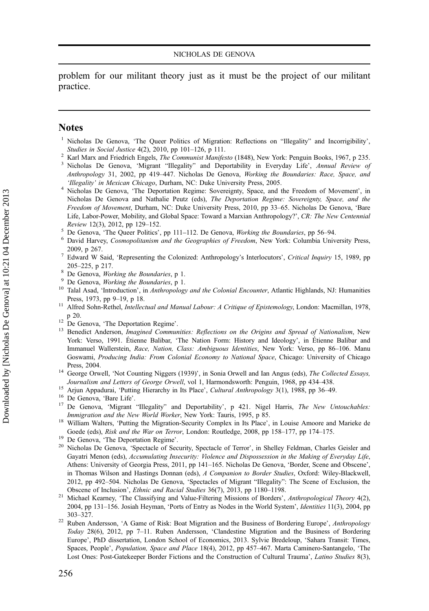<span id="page-7-0"></span>problem for our militant theory just as it must be the project of our militant practice.

#### **Notes**

- <sup>1</sup> Nicholas De Genova, 'The Queer Politics of Migration: Reflections on "Illegality" and Incorrigibility', *Studies in Social Justice*  $4(2)$ , 2010, pp 101–126, p 111.
- 
- <sup>2</sup> Karl Marx and Friedrich Engels, *The Communist Manifesto* (1848), New York: Penguin Books, 1967, p 235.<br><sup>3</sup> Nicholas De Genova, 'Migrant "Illegality" and Deportability in Everyday Life', *Annual Review of* Anthropology 31, 2002, pp 419–447. Nicholas De Genova, Working the Boundaries: Race, Space, and
- 'Illegality' in Mexican Chicago, Durham, NC: Duke University Press, 2005. <sup>4</sup> Nicholas De Genova, 'The Deportation Regime: Sovereignty, Space, and the Freedom of Movement', in Nicholas De Genova and Nathalie Peutz (eds), The Deportation Regime: Sovereignty, Space, and the Freedom of Movement, Durham, NC: Duke University Press, 2010, pp 33–65. Nicholas De Genova, 'Bare Life, Labor-Power, Mobility, and Global Space: Toward a Marxian Anthropology?', CR: The New Centennial Review 12(3), 2012, pp 129–152.<br>
<sup>5</sup> De Genova, 'The Queer Politics', pp 111–112. De Genova, *Working the Boundaries*, pp 56–94.<br>
<sup>6</sup> David Harvey, *Cosmopolitanism and the Geographies of Freedom*, New York: Columbia Unive
- 
- 2009, p 267.<br>Edward W Said, 'Representing the Colonized: Anthropology's Interlocutors', Critical Inquiry 15, 1989, pp
- 
- 
- 
- 205–225, p 217.<br>
<sup>8</sup> De Genova, *Working the Boundaries*, p 1.<br>
<sup>9</sup> De Genova, *Working the Boundaries*, p 1.<br>
<sup>10</sup> Talal Asad, 'Introduction', in *Anthropology and the Colonial Encounter*, Atlantic Highlands, NJ: Humanit Press, 1973, pp 9–19, p 18.<br><sup>11</sup> Alfred Sohn-Rethel, *Intellectual and Manual Labour: A Critique of Epistemology*, London: Macmillan, 1978,
- p 20.<br><sup>12</sup> De Genova, 'The Deportation Regime'.<br><sup>13</sup> Benedict Anderson, *Imagined Communities: Reflections on the Origins and Spread of Nationalism*, New
- 
- York: Verso, 1991. Étienne Balibar, 'The Nation Form: History and Ideology', in Étienne Balibar and Immanuel Wallerstein, Race, Nation, Class: Ambiguous Identities, New York: Verso, pp 86–106. Manu Goswami, Producing India: From Colonial Economy to National Space, Chicago: University of Chicago Press, 2004.<br><sup>14</sup> George Orwell, 'Not Counting Niggers (1939)', in Sonia Orwell and Ian Angus (eds), *The Collected Essays*,
- 
- 
- 
- Journalism and Letters of George Orwell, vol 1, Harmondsworth: Penguin, 1968, pp 434–438.<br><sup>15</sup> Arjun Appadurai, 'Putting Hierarchy in Its Place', *Cultural Anthropology* 3(1), 1988, pp 36–49.<br><sup>16</sup> De Genova, 'Bare Life'.<br><sup></sup> Immigration and the New World Worker, New York: Tauris, 1995, p 85.<br><sup>18</sup> William Walters, 'Putting the Migration-Security Complex in Its Place', in Louise Amoore and Marieke de
- Goede (eds), Risk and the War on Terror, London: Routledge, 2008, pp 158-177, pp 174-175.<br><sup>19</sup> De Genova, 'The Deportation Regime'.<br><sup>20</sup> Nicholas De Genova, 'Spectacle of Security, Spectacle of Terror', in Shelley Feldman,
- 
- Gayatri Menon (eds), Accumulating Insecurity: Violence and Dispossession in the Making of Everyday Life, Athens: University of Georgia Press, 2011, pp 141–165. Nicholas De Genova, 'Border, Scene and Obscene', in Thomas Wilson and Hastings Donnan (eds), A Companion to Border Studies, Oxford: Wiley-Blackwell, 2012, pp 492–504. Nicholas De Genova, 'Spectacles of Migrant "Illegality": The Scene of Exclusion, the
- Obscene of Inclusion', *Ethnic and Racial Studies* 36(7), 2013, pp 1180–1198.<br><sup>21</sup> Michael Kearney, 'The Classifying and Value-Filtering Missions of Borders', *Anthropological Theory* 4(2), 2004, pp 131–156. Josiah Heyman, 'Ports of Entry as Nodes in the World System', Identities 11(3), 2004, pp 303–327.<br><sup>22</sup> Ruben Andersson, 'A Game of Risk: Boat Migration and the Business of Bordering Europe', *Anthropology*
- Today 28(6), 2012, pp 7–11. Ruben Andersson, 'Clandestine Migration and the Business of Bordering Europe', PhD dissertation, London School of Economics, 2013. Sylvie Bredeloup, 'Sahara Transit: Times, Spaces, People', Population, Space and Place 18(4), 2012, pp 457–467. Marta Caminero-Santangelo, 'The Lost Ones: Post-Gatekeeper Border Fictions and the Construction of Cultural Trauma', Latino Studies 8(3),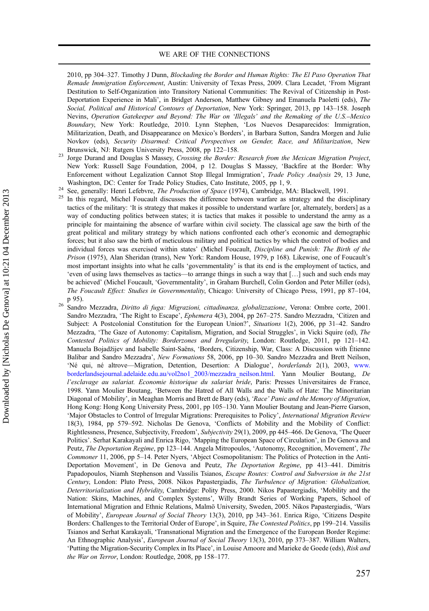#### WE ARE OF THE CONNECTIONS

<span id="page-8-0"></span>2010, pp 304–327. Timothy J Dunn, Blockading the Border and Human Rights: The El Paso Operation That Remade Immigration Enforcement, Austin: University of Texas Press, 2009. Clara Lecadet, 'From Migrant Destitution to Self-Organization into Transitory National Communities: The Revival of Citizenship in Post-Deportation Experience in Mali', in Bridget Anderson, Matthew Gibney and Emanuela Paoletti (eds), The Social, Political and Historical Contours of Deportation, New York: Springer, 2013, pp 143–158. Joseph Nevins, Operation Gatekeeper and Beyond: The War on 'Illegals' and the Remaking of the U.S.–Mexico Boundary, New York: Routledge, 2010. Lynn Stephen, 'Los Nuevos Desaparecidos: Immigration, Militarization, Death, and Disappearance on Mexico's Borders', in Barbara Sutton, Sandra Morgen and Julie Novkov (eds), Security Disarmed: Critical Perspectives on Gender, Race, and Militarization, New Brunswick, NJ: Rutgers University Press, 2008, pp 122–158.<br><sup>23</sup> Jorge Durand and Douglas S Massey, Crossing the Border: Research from the Mexican Migration Project,

- New York: Russell Sage Foundation, 2004, p 12. Douglas S Massey, 'Backfire at the Border: Why Enforcement without Legalization Cannot Stop Illegal Immigration', Trade Policy Analysis 29, 13 June, Washington, DC: Center for Trade Policy Studies, Cato Institute, 2005, pp 1, 9.<br><sup>24</sup> See, generally: Henri Lefebvre, *The Production of Space* (1974), Cambridge, MA: Blackwell, 1991.<br><sup>25</sup> In this regard, Michel Foucault di
- 
- tactics of the military: 'It is strategy that makes it possible to understand warfare [or, alternately, borders] as a way of conducting politics between states; it is tactics that makes it possible to understand the army as a principle for maintaining the absence of warfare within civil society. The classical age saw the birth of the great political and military strategy by which nations confronted each other's economic and demographic forces; but it also saw the birth of meticulous military and political tactics by which the control of bodies and individual forces was exercised within states' (Michel Foucault, Discipline and Punish: The Birth of the Prison (1975), Alan Sheridan (trans), New York: Random House, 1979, p 168). Likewise, one of Foucault's most important insights into what he calls 'governmentality' is that its end is the employment of tactics, and 'even of using laws themselves as tactics—to arrange things in such a way that […] such and such ends may be achieved' (Michel Foucault, 'Governmentality', in Graham Burchell, Colin Gordon and Peter Miller (eds), The Foucault Effect: Studies in Governmentality, Chicago: University of Chicago Press, 1991, pp 87–104, p 95).
- <sup>26</sup> Sandro Mezzadra, Diritto di fuga: Migrazioni, cittadinanza, globalizzazione, Verona: Ombre corte, 2001. Sandro Mezzadra, 'The Right to Escape', Ephemera 4(3), 2004, pp 267–275. Sandro Mezzadra, 'Citizen and Subject: A Postcolonial Constitution for the European Union?', Situations 1(2), 2006, pp 31–42. Sandro Mezzadra, 'The Gaze of Autonomy: Capitalism, Migration, and Social Struggles', in Vicki Squire (ed), The Contested Politics of Mobility: Borderzones and Irregularity, London: Routledge, 2011, pp 121–142. Manuela Bojadžijev and Isabelle Saint-Saëns, 'Borders, Citizenship, War, Class: A Discussion with Étienne Balibar and Sandro Mezzadra', New Formations 58, 2006, pp 10–30. Sandro Mezzadra and Brett Neilson, 'Né qui, né altrove—Migration, Detention, Desertion: A Dialogue', borderlands 2(1), 2003, [www.](http://www.borderlandsejournal.adelaide.edu.au/vol2no1_2003/mezzadra_neilson.html) [borderlandsejournal.adelaide.edu.au/vol2no1\\_2003/mezzadra\\_neilson.html](http://www.borderlandsejournal.adelaide.edu.au/vol2no1_2003/mezzadra_neilson.html). Yann Moulier Boutang, De l'esclavage au salariat. Economie historique du salariat bride, Paris: Presses Universitaires de France, 1998. Yann Moulier Boutang, 'Between the Hatred of All Walls and the Walls of Hate: The Minoritarian Diagonal of Mobility', in Meaghan Morris and Brett de Bary (eds), 'Race' Panic and the Memory of Migration, Hong Kong: Hong Kong University Press, 2001, pp 105–130. Yann Moulier Boutang and Jean-Pierre Garson, 'Major Obstacles to Control of Irregular Migrations: Prerequisites to Policy', International Migration Review 18(3), 1984, pp 579–592. Nicholas De Genova, 'Conflicts of Mobility and the Mobility of Conflict: Rightlessness, Presence, Subjectivity, Freedom', Subjectivity 29(1), 2009, pp 445–466. De Genova, 'The Queer Politics'. Serhat Karakayali and Enrica Rigo, 'Mapping the European Space of Circulation', in De Genova and Peutz, The Deportation Regime, pp 123-144. Angela Mitropoulos, 'Autonomy, Recognition, Movement', The Commoner 11, 2006, pp 5–14. Peter Nyers, 'Abject Cosmopolitanism: The Politics of Protection in the Anti-Deportation Movement', in De Genova and Peutz, The Deportation Regime, pp 413–441. Dimitris Papadopoulos, Niamh Stephenson and Vassilis Tsianos, Escape Routes: Control and Subversion in the 21st Century, London: Pluto Press, 2008. Nikos Papastergiadis, The Turbulence of Migration: Globalization, Deterritorialization and Hybridity, Cambridge: Polity Press, 2000. Nikos Papastergiadis, 'Mobility and the Nation: Skins, Machines, and Complex Systems', Willy Brandt Series of Working Papers, School of International Migration and Ethnic Relations, Malmö University, Sweden, 2005. Nikos Papastergiadis, 'Wars of Mobility', European Journal of Social Theory 13(3), 2010, pp 343–361. Enrica Rigo, 'Citizens Despite Borders: Challenges to the Territorial Order of Europe', in Squire, The Contested Politics, pp 199-214. Vassilis Tsianos and Serhat Karakayali, 'Transnational Migration and the Emergence of the European Border Regime: An Ethnographic Analysis', European Journal of Social Theory 13(3), 2010, pp 373–387. William Walters, 'Putting the Migration-Security Complex in Its Place', in Louise Amoore and Marieke de Goede (eds), Risk and the War on Terror, London: Routledge, 2008, pp 158–177.